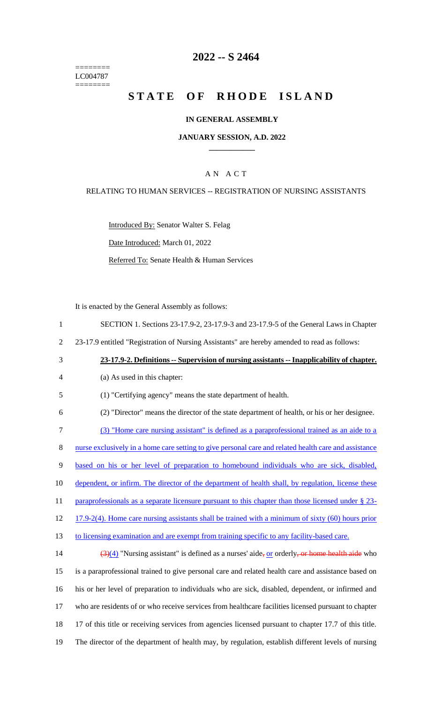======== LC004787  $=$ 

## **2022 -- S 2464**

# **STATE OF RHODE ISLAND**

## **IN GENERAL ASSEMBLY**

#### **JANUARY SESSION, A.D. 2022 \_\_\_\_\_\_\_\_\_\_\_\_**

## A N A C T

### RELATING TO HUMAN SERVICES -- REGISTRATION OF NURSING ASSISTANTS

Introduced By: Senator Walter S. Felag

Date Introduced: March 01, 2022

Referred To: Senate Health & Human Services

It is enacted by the General Assembly as follows:

| $\mathbf{1}$   | SECTION 1. Sections 23-17.9-2, 23-17.9-3 and 23-17.9-5 of the General Laws in Chapter                                          |
|----------------|--------------------------------------------------------------------------------------------------------------------------------|
| $\overline{2}$ | 23-17.9 entitled "Registration of Nursing Assistants" are hereby amended to read as follows:                                   |
| 3              | 23-17.9-2. Definitions -- Supervision of nursing assistants -- Inapplicability of chapter.                                     |
| $\overline{4}$ | (a) As used in this chapter:                                                                                                   |
| 5              | (1) "Certifying agency" means the state department of health.                                                                  |
| 6              | (2) "Director" means the director of the state department of health, or his or her designee.                                   |
| $\tau$         | (3) "Home care nursing assistant" is defined as a paraprofessional trained as an aide to a                                     |
| $8\,$          | nurse exclusively in a home care setting to give personal care and related health care and assistance                          |
| 9              | based on his or her level of preparation to homebound individuals who are sick, disabled,                                      |
| 10             | dependent, or infirm. The director of the department of health shall, by regulation, license these                             |
| 11             | paraprofessionals as a separate licensure pursuant to this chapter than those licensed under § 23-                             |
| 12             | 17.9-2(4). Home care nursing assistants shall be trained with a minimum of sixty (60) hours prior                              |
| 13             | to licensing examination and are exempt from training specific to any facility-based care.                                     |
| 14             | $\left(\frac{3}{4}\right)\left(4\right)$ "Nursing assistant" is defined as a nurses' aide, or orderly, or home health aide who |
| 15             | is a paraprofessional trained to give personal care and related health care and assistance based on                            |
| 16             | his or her level of preparation to individuals who are sick, disabled, dependent, or infirmed and                              |
| 17             | who are residents of or who receive services from healthcare facilities licensed pursuant to chapter                           |
| 18             | 17 of this title or receiving services from agencies licensed pursuant to chapter 17.7 of this title.                          |
| 19             | The director of the department of health may, by regulation, establish different levels of nursing                             |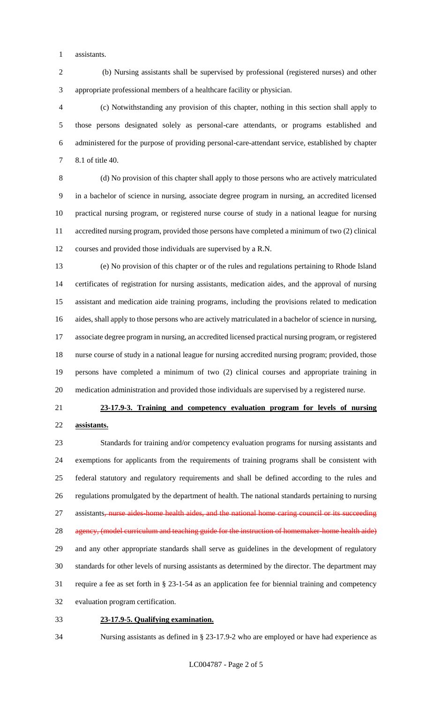assistants.

 (b) Nursing assistants shall be supervised by professional (registered nurses) and other appropriate professional members of a healthcare facility or physician.

 (c) Notwithstanding any provision of this chapter, nothing in this section shall apply to those persons designated solely as personal-care attendants, or programs established and administered for the purpose of providing personal-care-attendant service, established by chapter 8.1 of title 40.

 (d) No provision of this chapter shall apply to those persons who are actively matriculated in a bachelor of science in nursing, associate degree program in nursing, an accredited licensed practical nursing program, or registered nurse course of study in a national league for nursing accredited nursing program, provided those persons have completed a minimum of two (2) clinical courses and provided those individuals are supervised by a R.N.

 (e) No provision of this chapter or of the rules and regulations pertaining to Rhode Island certificates of registration for nursing assistants, medication aides, and the approval of nursing assistant and medication aide training programs, including the provisions related to medication aides, shall apply to those persons who are actively matriculated in a bachelor of science in nursing, associate degree program in nursing, an accredited licensed practical nursing program, or registered nurse course of study in a national league for nursing accredited nursing program; provided, those persons have completed a minimum of two (2) clinical courses and appropriate training in medication administration and provided those individuals are supervised by a registered nurse.

# **23-17.9-3. Training and competency evaluation program for levels of nursing assistants.**

 Standards for training and/or competency evaluation programs for nursing assistants and exemptions for applicants from the requirements of training programs shall be consistent with federal statutory and regulatory requirements and shall be defined according to the rules and regulations promulgated by the department of health. The national standards pertaining to nursing 27 assistants, nurse aides home health aides, and the national home caring council or its succeeding 28 agency, (model curriculum and teaching guide for the instruction of homemaker-home health aide) and any other appropriate standards shall serve as guidelines in the development of regulatory standards for other levels of nursing assistants as determined by the director. The department may require a fee as set forth in § 23-1-54 as an application fee for biennial training and competency evaluation program certification.

- **23-17.9-5. Qualifying examination.**
- Nursing assistants as defined in § 23-17.9-2 who are employed or have had experience as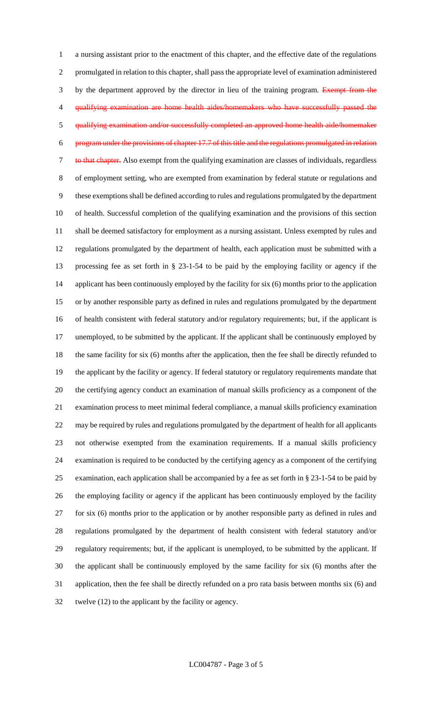a nursing assistant prior to the enactment of this chapter, and the effective date of the regulations promulgated in relation to this chapter, shall pass the appropriate level of examination administered 3 by the department approved by the director in lieu of the training program. Exempt from the qualifying examination are home health aides/homemakers who have successfully passed the qualifying examination and/or successfully completed an approved home health aide/homemaker program under the provisions of chapter 17.7 of this title and the regulations promulgated in relation 7 to that chapter. Also exempt from the qualifying examination are classes of individuals, regardless of employment setting, who are exempted from examination by federal statute or regulations and these exemptions shall be defined according to rules and regulations promulgated by the department of health. Successful completion of the qualifying examination and the provisions of this section shall be deemed satisfactory for employment as a nursing assistant. Unless exempted by rules and regulations promulgated by the department of health, each application must be submitted with a processing fee as set forth in § 23-1-54 to be paid by the employing facility or agency if the applicant has been continuously employed by the facility for six (6) months prior to the application or by another responsible party as defined in rules and regulations promulgated by the department of health consistent with federal statutory and/or regulatory requirements; but, if the applicant is 17 unemployed, to be submitted by the applicant. If the applicant shall be continuously employed by the same facility for six (6) months after the application, then the fee shall be directly refunded to the applicant by the facility or agency. If federal statutory or regulatory requirements mandate that the certifying agency conduct an examination of manual skills proficiency as a component of the examination process to meet minimal federal compliance, a manual skills proficiency examination may be required by rules and regulations promulgated by the department of health for all applicants not otherwise exempted from the examination requirements. If a manual skills proficiency examination is required to be conducted by the certifying agency as a component of the certifying examination, each application shall be accompanied by a fee as set forth in § 23-1-54 to be paid by the employing facility or agency if the applicant has been continuously employed by the facility for six (6) months prior to the application or by another responsible party as defined in rules and regulations promulgated by the department of health consistent with federal statutory and/or regulatory requirements; but, if the applicant is unemployed, to be submitted by the applicant. If the applicant shall be continuously employed by the same facility for six (6) months after the application, then the fee shall be directly refunded on a pro rata basis between months six (6) and twelve (12) to the applicant by the facility or agency.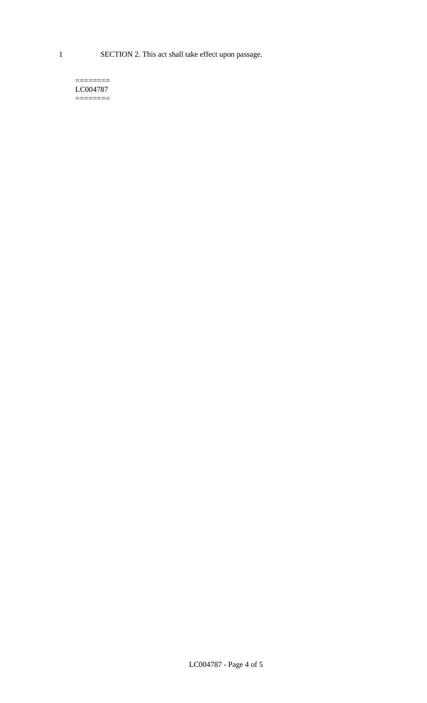1 SECTION 2. This act shall take effect upon passage.

#### $=$ LC004787  $=$